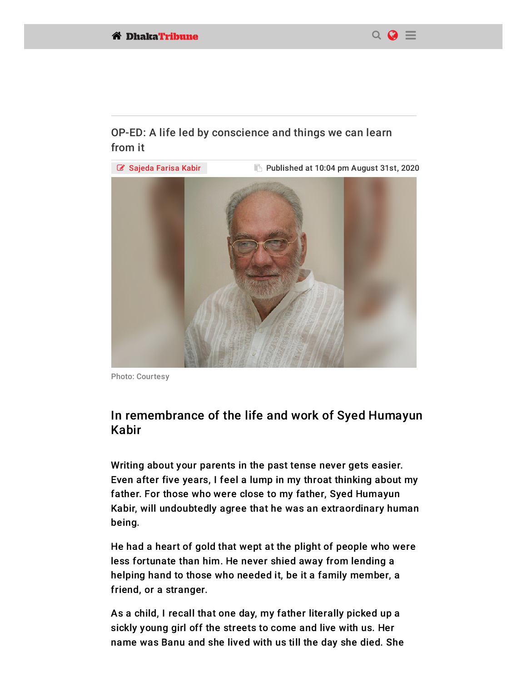

## OP-ED: A life led by conscience and things we can learn from it



Photo: Courtesy

## In remembrance of the life and work of Syed Humayun Kabir

Writing about your parents in the past tense never gets easier. Even after five years, I feel a lump in my throat thinking about my father. For those who were close to my father, Syed Humayun Kabir, will undoubtedly agree that he was an extraordinary human being.

He had a heart of gold that wept at the plight of people who were less fortunate than him. He never shied away from lending a helping hand to those who needed it, be it a family member, a friend, or a stranger.

As a child, I recall that one day, my father literally picked up a sickly young girl off the streets to come and live with us. Her [name was](http://www.facebook.com/sharer.php?u=https://www.dhakatribune.com/opinion/op-ed/2020/08/31/op-ed-a-life-led-by-conscience/?fbclid=IwAR1oV381PP9OXHY8iPV3EIqegAibBicvlm1MfyLAPBKWPuOFDcrocIUNWh0) Banu and she lived with us till the day she died. She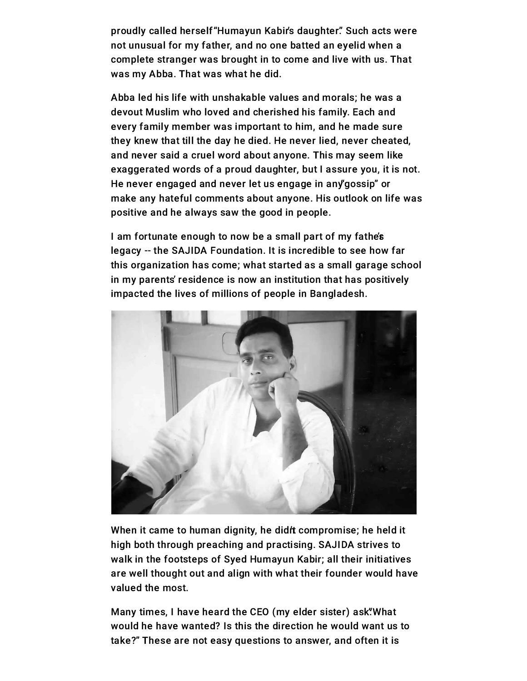proudly called herself "Humayun Kabir's daughter." Such acts were not unusual for my father, and no one batted an eyelid when a complete stranger was brought in to come and live with us. That was my Abba. That was what he did.

Abba led his life with unshakable values and morals; he was a devout Muslim who loved and cherished his family. Each and every family member was important to him, and he made sure they knew that till the day he died. He never lied, never cheated, and never said a cruel word about anyone. This may seem like exaggerated words of a proud daughter, but I assure you, it is not. He never engaged and never let us engage in any gossip" or make any hateful comments about anyone. His outlook on life was positive and he always saw the good in people.

I am fortunate enough to now be a small part of my fathe's legacy -- the SAJIDA Foundation. It is incredible to see how far this organization has come; what started as a small garage school in my parents' residence is now an institution that has positively impacted the lives of millions of people in Bangladesh.



When it came to human dignity, he didit compromise; he held it high both through preaching and practising. SAJIDA strives to walk in the footsteps of Syed Humayun Kabir; all their initiatives are well thought out and align with what their founder would have valued the most.

Many times, I have heard the CEO (my elder sister) ask "What would he have wanted? Is this the direction he would want us to [take?" The](http://www.facebook.com/sharer.php?u=https://www.dhakatribune.com/opinion/op-ed/2020/08/31/op-ed-a-life-led-by-conscience/?fbclid=IwAR1oV381PP9OXHY8iPV3EIqegAibBicvlm1MfyLAPBKWPuOFDcrocIUNWh0)se are not easy questions to answer, and often it is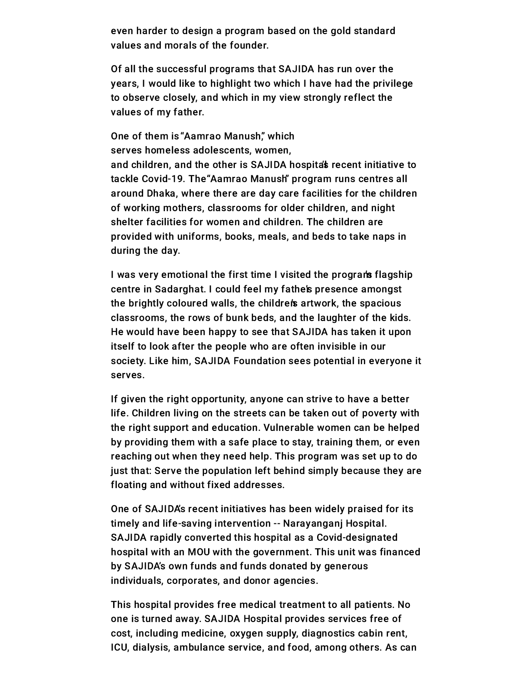even harder to design a program based on the gold standard values and morals of the founder.

Of all the successful programs that SAJIDA has run over the years, I would like to highlight two which I have had the privilege to observe closely, and which in my view strongly reflect the values of my father.

One of them is "Aamrao Manush," which serves homeless adolescents, women, and children, and the other is SAJIDA hospita's recent initiative to tackle Covid-19. The "Aamrao Manush" program runs centres all around Dhaka, where there are day care facilities for the children of working mothers, classrooms for older children, and night shelter facilities for women and children. The children are provided with uniforms, books, meals, and beds to take naps in during the day.

I was very emotional the first time I visited the programs flagship centre in Sadarghat. I could feel my fathe's presence amongst the brightly coloured walls, the childrens artwork, the spacious classrooms, the rows of bunk beds, and the laughter of the kids. He would have been happy to see that SAJIDA has taken it upon itself to look after the people who are often invisible in our society. Like him, SAJIDA Foundation sees potential in everyone it serves.

If given the right opportunity, anyone can strive to have a better life. Children living on the streets can be taken out of poverty with the right support and education. Vulnerable women can be helped by providing them with a safe place to stay, training them, or even reaching out when they need help. This program was set up to do just that: Serve the population left behind simply because they are floating and without fixed addresses.

One of SAJIDA's recent initiatives has been widely praised for its timely and life-saving intervention -- Narayanganj Hospital. SAJIDA rapidly converted this hospital as a Covid-designated hospital with an MOU with the government. This unit was financed by SAJIDA's own funds and funds donated by generous individuals, corporates, and donor agencies.

This hospital provides free medical treatment to all patients. No one is turned away. SAJIDA Hospital provides services free of [cost, inclu](http://www.facebook.com/sharer.php?u=https://www.dhakatribune.com/opinion/op-ed/2020/08/31/op-ed-a-life-led-by-conscience/?fbclid=IwAR1oV381PP9OXHY8iPV3EIqegAibBicvlm1MfyLAPBKWPuOFDcrocIUNWh0)ding medicine, oxygen supply, diagnostics cabin rent, ICU, dialysis, ambulance service, and food, among others. As can